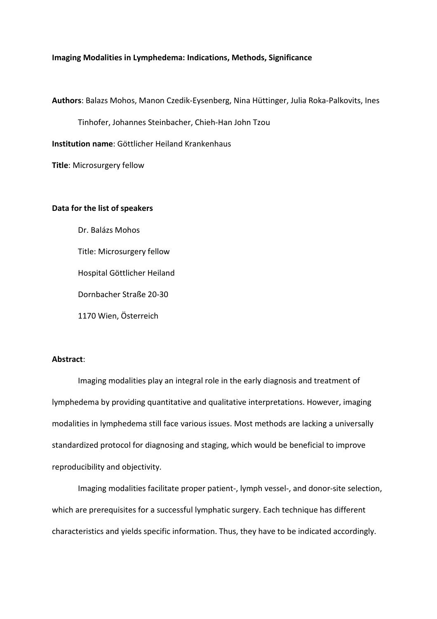## **Imaging Modalities in Lymphedema: Indications, Methods, Significance**

**Authors**: Balazs Mohos, Manon Czedik-Eysenberg, Nina Hüttinger, Julia Roka-Palkovits, Ines

Tinhofer, Johannes Steinbacher, Chieh-Han John Tzou

**Institution name**: Göttlicher Heiland Krankenhaus

**Title**: Microsurgery fellow

## **Data for the list of speakers**

Dr. Balázs Mohos Title: Microsurgery fellow Hospital Göttlicher Heiland Dornbacher Straße 20-30 1170 Wien, Österreich

## **Abstract**:

Imaging modalities play an integral role in the early diagnosis and treatment of lymphedema by providing quantitative and qualitative interpretations. However, imaging modalities in lymphedema still face various issues. Most methods are lacking a universally standardized protocol for diagnosing and staging, which would be beneficial to improve reproducibility and objectivity.

Imaging modalities facilitate proper patient-, lymph vessel-, and donor-site selection, which are prerequisites for a successful lymphatic surgery. Each technique has different characteristics and yields specific information. Thus, they have to be indicated accordingly.